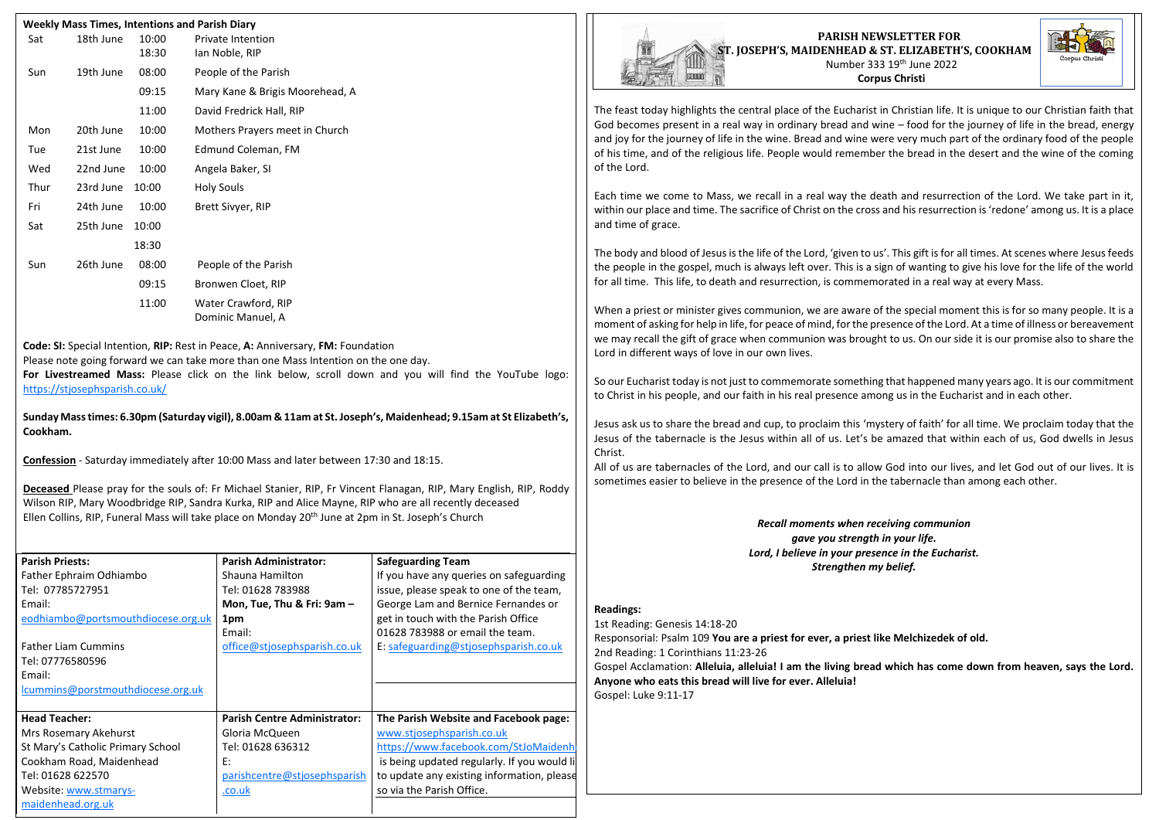|      |           | 10:00<br>18:30 | <b>Private Intention</b><br>Ian Noble, RIP |
|------|-----------|----------------|--------------------------------------------|
| Sun  | 19th June | 08:00          | People of the Parish                       |
|      |           | 09:15          | Mary Kane & Brigis Moorehead, A            |
|      |           | 11:00          | David Fredrick Hall, RIP                   |
| Mon  | 20th June | 10:00          | Mothers Prayers meet in Church             |
| Tue  | 21st June | 10:00          | Edmund Coleman, FM                         |
| Wed  | 22nd June | 10:00          | Angela Baker, SI                           |
| Thur | 23rd June | 10:00          | <b>Holy Souls</b>                          |
| Fri  | 24th June | 10:00          | Brett Sivyer, RIP                          |
| Sat  | 25th June | 10:00          |                                            |
|      |           | 18:30          |                                            |
| Sun  | 26th June | 08:00          | People of the Parish                       |
|      |           | 09:15          | Bronwen Cloet, RIP                         |
|      |           | 11:00          | Water Crawford, RIP<br>Dominic Manuel, A   |

**Deceased** Please pray for the souls of: Fr Michael Stanier, RIP, Fr Vincent Flanagan, RIP, Mary English, RIP, Roddy Wilson RIP, Mary Woodbridge RIP, Sandra Kurka, RIP and Alice Mayne, RIP who are all recently deceased Ellen Collins, RIP, Funeral Mass will take place on Monday 20<sup>th</sup> June at 2pm in St. Joseph's Church

**Code: SI:** Special Intention, **RIP:** Rest in Peace, **A:** Anniversary, **FM:** Foundation Please note going forward we can take more than one Mass Intention on the one day. **For Livestreamed Mass:** Please click on the link below, scroll down and you will find the YouTube logo: [https://stjosephsparish.co.uk/](about:blank)

**Sunday Mass times: 6.30pm (Saturday vigil), 8.00am & 11am at St. Joseph's, Maidenhead; 9.15am at St Elizabeth's, Cookham.**

**Confession** - Saturday immediately after 10:00 Mass and later between 17:30 and 18:15.

| <b>Parish Priests:</b>             | <b>Parish Administrator:</b>        |                                             |  |
|------------------------------------|-------------------------------------|---------------------------------------------|--|
|                                    |                                     | <b>Safeguarding Team</b>                    |  |
| Father Ephraim Odhiambo            | Shauna Hamilton                     | If you have any queries on safeguarding     |  |
| Tel: 07785727951                   | Tel: 01628 783988                   | issue, please speak to one of the team,     |  |
| Email:                             | Mon, Tue, Thu & Fri: 9am -          | George Lam and Bernice Fernandes or         |  |
| eodhiambo@portsmouthdiocese.org.uk | 1pm                                 | get in touch with the Parish Office         |  |
|                                    | Email:                              | 01628 783988 or email the team.             |  |
| <b>Father Liam Cummins</b>         | office@stjosephsparish.co.uk        | E: safeguarding@stjosephsparish.co.uk       |  |
| Tel: 07776580596                   |                                     |                                             |  |
| Email:                             |                                     |                                             |  |
| lcummins@porstmouthdiocese.org.uk  |                                     |                                             |  |
|                                    |                                     |                                             |  |
| <b>Head Teacher:</b>               | <b>Parish Centre Administrator:</b> | The Parish Website and Facebook page:       |  |
| Mrs Rosemary Akehurst              | Gloria McQueen                      | www.stjosephsparish.co.uk                   |  |
| St Mary's Catholic Primary School  | Tel: 01628 636312                   | https://www.facebook.com/StJoMaidenh        |  |
| Cookham Road, Maidenhead           | E:                                  | is being updated regularly. If you would li |  |
| Tel: 01628 622570                  | parishcentre@stjosephsparish        | to update any existing information, please  |  |
| Website: www.stmarys-              | .co.uk                              | so via the Parish Office.                   |  |
| maidenhead.org.uk                  |                                     |                                             |  |

The feast today highlights the central place of the Eucharist in Christian life. It is unique to our Christian faith that God becomes present in a real way in ordinary bread and wine – food for the journey of life in the bread, energy and joy for the journey of life in the wine. Bread and wine were very much part of the ordinary food of the people of his time, and of the religious life. People would remember the bread in the desert and the wine of the coming of the Lord.

Each time we come to Mass, we recall in a real way the death and resurrection of the Lord. We take part in it, within our place and time. The sacrifice of Christ on the cross and his resurrection is 'redone' among us. It is a place and time of grace.

The body and blood of Jesus is the life of the Lord, 'given to us'. This gift is for all times. At scenes where Jesus feeds the people in the gospel, much is always left over. This is a sign of wanting to give his love for the life of the world for all time. This life, to death and resurrection, is commemorated in a real way at every Mass.

When a priest or minister gives communion, we are aware of the special moment this is for so many people. It is a moment of asking for help in life, for peace of mind, for the presence of the Lord. At a time of illness or bereavement we may recall the gift of grace when communion was brought to us. On our side it is our promise also to share the Lord in different ways of love in our own lives.

So our Eucharist today is not just to commemorate something that happened many years ago. It is our commitment to Christ in his people, and our faith in his real presence among us in the Eucharist and in each other.

Jesus ask us to share the bread and cup, to proclaim this 'mystery of faith' for all time. We proclaim today that the Jesus of the tabernacle is the Jesus within all of us. Let's be amazed that within each of us, God dwells in Jesus Christ.

All of us are tabernacles of the Lord, and our call is to allow God into our lives, and let God out of our lives. It is sometimes easier to believe in the presence of the Lord in the tabernacle than among each other.

> *Recall moments when receiving communion gave you strength in your life. Lord, I believe in your presence in the Eucharist. Strengthen my belief.*

## **Readings:**

1st Reading: Genesis 14:18-20 Responsorial: Psalm 109 **You are a priest for ever, a priest like Melchizedek of old.** 2nd Reading: 1 Corinthians 11:23-26 Gospel Acclamation: **Alleluia, alleluia! I am the living bread which has come down from heaven, says the Lord. Anyone who eats this bread will live for ever. Alleluia!** Gospel: Luke 9:11-17